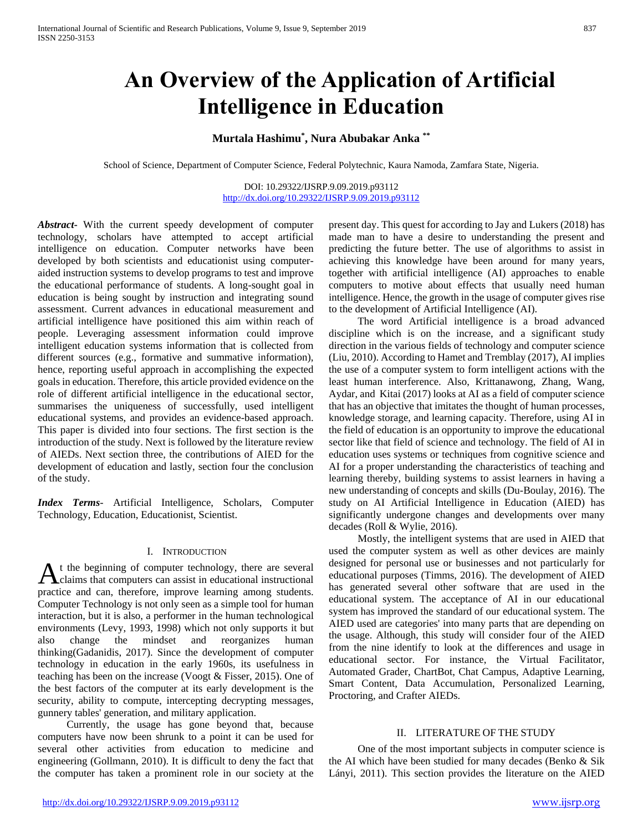# **An Overview of the Application of Artificial Intelligence in Education**

## **Murtala Hashimu\* , Nura Abubakar Anka \*\***

School of Science, Department of Computer Science, Federal Polytechnic, Kaura Namoda, Zamfara State, Nigeria.

DOI: 10.29322/IJSRP.9.09.2019.p93112 <http://dx.doi.org/10.29322/IJSRP.9.09.2019.p93112>

*Abstract***-** With the current speedy development of computer technology, scholars have attempted to accept artificial intelligence on education. Computer networks have been developed by both scientists and educationist using computeraided instruction systems to develop programs to test and improve the educational performance of students. A long-sought goal in education is being sought by instruction and integrating sound assessment. Current advances in educational measurement and artificial intelligence have positioned this aim within reach of people. Leveraging assessment information could improve intelligent education systems information that is collected from different sources (e.g., formative and summative information), hence, reporting useful approach in accomplishing the expected goals in education. Therefore, this article provided evidence on the role of different artificial intelligence in the educational sector, summarises the uniqueness of successfully, used intelligent educational systems, and provides an evidence-based approach. This paper is divided into four sections. The first section is the introduction of the study. Next is followed by the literature review of AIEDs. Next section three, the contributions of AIED for the development of education and lastly, section four the conclusion of the study.

*Index Terms*- Artificial Intelligence, Scholars, Computer Technology, Education, Educationist, Scientist.

#### I. INTRODUCTION

t the beginning of computer technology, there are several  $A$ <sup>t</sup> the beginning of computer technology, there are several claims that computers can assist in educational instructional practice and can, therefore, improve learning among students. Computer Technology is not only seen as a simple tool for human interaction, but it is also, a performer in the human technological environments (Levy, 1993, 1998) which not only supports it but also change the mindset and reorganizes human thinking(Gadanidis, 2017). Since the development of computer technology in education in the early 1960s, its usefulness in teaching has been on the increase (Voogt & Fisser, 2015). One of the best factors of the computer at its early development is the security, ability to compute, intercepting decrypting messages, gunnery tables' generation, and military application.

 Currently, the usage has gone beyond that, because computers have now been shrunk to a point it can be used for several other activities from education to medicine and engineering (Gollmann, 2010). It is difficult to deny the fact that the computer has taken a prominent role in our society at the

present day. This quest for according to Jay and Lukers (2018) has made man to have a desire to understanding the present and predicting the future better. The use of algorithms to assist in achieving this knowledge have been around for many years, together with artificial intelligence (AI) approaches to enable computers to motive about effects that usually need human intelligence. Hence, the growth in the usage of computer gives rise to the development of Artificial Intelligence (AI).

 The word Artificial intelligence is a broad advanced discipline which is on the increase, and a significant study direction in the various fields of technology and computer science (Liu, 2010). According to Hamet and Tremblay (2017), AI implies the use of a computer system to form intelligent actions with the least human interference. Also, Krittanawong, Zhang, Wang, Aydar, and Kitai (2017) looks at AI as a field of computer science that has an objective that imitates the thought of human processes, knowledge storage, and learning capacity. Therefore, using AI in the field of education is an opportunity to improve the educational sector like that field of science and technology. The field of AI in education uses systems or techniques from cognitive science and AI for a proper understanding the characteristics of teaching and learning thereby, building systems to assist learners in having a new understanding of concepts and skills (Du-Boulay, 2016). The study on AI Artificial Intelligence in Education (AIED) has significantly undergone changes and developments over many decades (Roll & Wylie, 2016).

 Mostly, the intelligent systems that are used in AIED that used the computer system as well as other devices are mainly designed for personal use or businesses and not particularly for educational purposes (Timms, 2016). The development of AIED has generated several other software that are used in the educational system. The acceptance of AI in our educational system has improved the standard of our educational system. The AIED used are categories' into many parts that are depending on the usage. Although, this study will consider four of the AIED from the nine identify to look at the differences and usage in educational sector. For instance, the Virtual Facilitator, Automated Grader, ChartBot, Chat Campus, Adaptive Learning, Smart Content, Data Accumulation, Personalized Learning, Proctoring, and Crafter AIEDs.

#### II. LITERATURE OF THE STUDY

 One of the most important subjects in computer science is the AI which have been studied for many decades (Benko & Sik Lányi, 2011). This section provides the literature on the AIED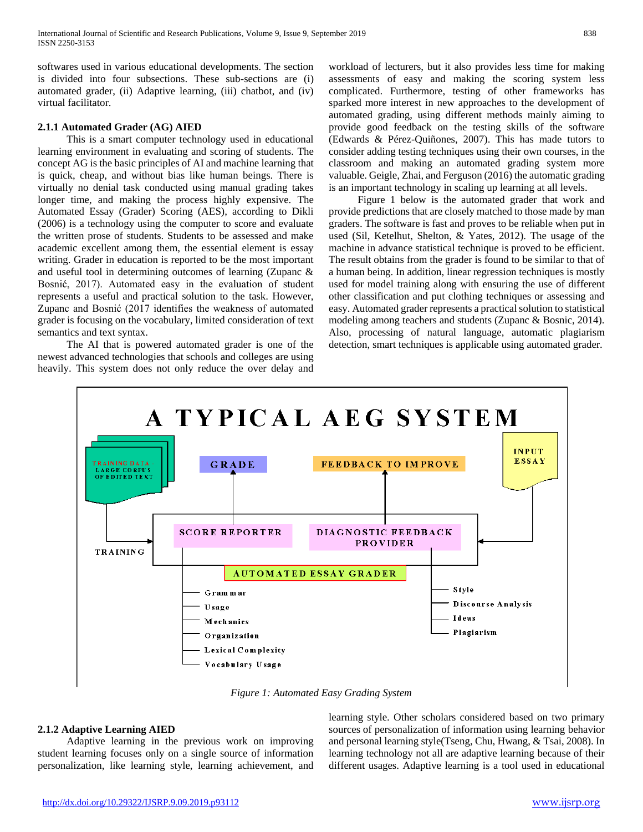softwares used in various educational developments. The section is divided into four subsections. These sub-sections are (i) automated grader, (ii) Adaptive learning, (iii) chatbot, and (iv) virtual facilitator.

### **2.1.1 Automated Grader (AG) AIED**

 This is a smart computer technology used in educational learning environment in evaluating and scoring of students. The concept AG is the basic principles of AI and machine learning that is quick, cheap, and without bias like human beings. There is virtually no denial task conducted using manual grading takes longer time, and making the process highly expensive. The Automated Essay (Grader) Scoring (AES), according to Dikli (2006) is a technology using the computer to score and evaluate the written prose of students. Students to be assessed and make academic excellent among them, the essential element is essay writing. Grader in education is reported to be the most important and useful tool in determining outcomes of learning (Zupanc & Bosnić, 2017). Automated easy in the evaluation of student represents a useful and practical solution to the task. However, Zupanc and Bosnić (2017 identifies the weakness of automated grader is focusing on the vocabulary, limited consideration of text semantics and text syntax.

 The AI that is powered automated grader is one of the newest advanced technologies that schools and colleges are using heavily. This system does not only reduce the over delay and

workload of lecturers, but it also provides less time for making assessments of easy and making the scoring system less complicated. Furthermore, testing of other frameworks has sparked more interest in new approaches to the development of automated grading, using different methods mainly aiming to provide good feedback on the testing skills of the software (Edwards & Pérez-Quiñones, 2007). This has made tutors to consider adding testing techniques using their own courses, in the classroom and making an automated grading system more valuable. Geigle, Zhai, and Ferguson (2016) the automatic grading is an important technology in scaling up learning at all levels.

 Figure 1 below is the automated grader that work and provide predictions that are closely matched to those made by man graders. The software is fast and proves to be reliable when put in used (Sil, Ketelhut, Shelton, & Yates, 2012). The usage of the machine in advance statistical technique is proved to be efficient. The result obtains from the grader is found to be similar to that of a human being. In addition, linear regression techniques is mostly used for model training along with ensuring the use of different other classification and put clothing techniques or assessing and easy. Automated grader represents a practical solution to statistical modeling among teachers and students (Zupanc & Bosnic, 2014). Also, processing of natural language, automatic plagiarism detection, smart techniques is applicable using automated grader.



*Figure 1: Automated Easy Grading System*

## **2.1.2 Adaptive Learning AIED**

 Adaptive learning in the previous work on improving student learning focuses only on a single source of information personalization, like learning style, learning achievement, and

learning style. Other scholars considered based on two primary sources of personalization of information using learning behavior and personal learning style(Tseng, Chu, Hwang, & Tsai, 2008). In learning technology not all are adaptive learning because of their different usages. Adaptive learning is a tool used in educational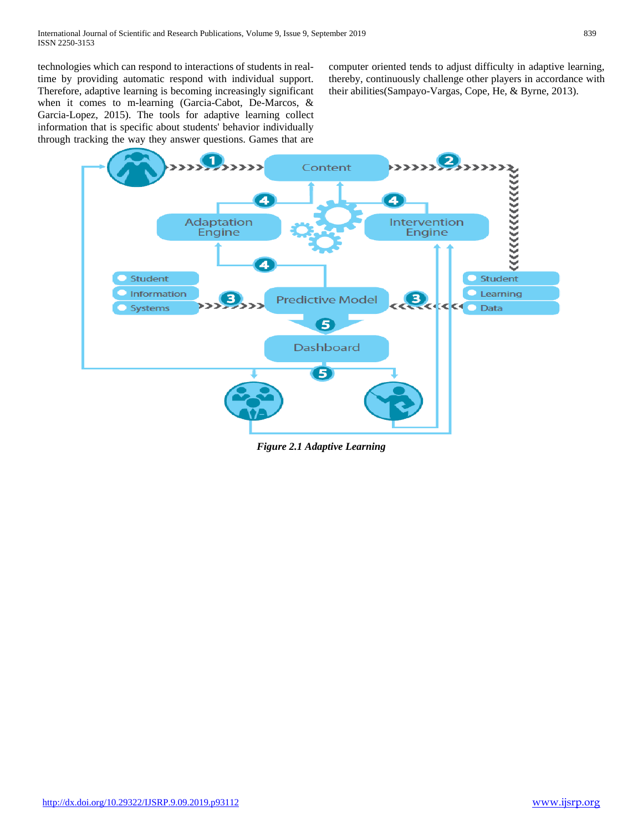technologies which can respond to interactions of students in realtime by providing automatic respond with individual support. Therefore, adaptive learning is becoming increasingly significant when it comes to m-learning (Garcia-Cabot, De-Marcos, & Garcia-Lopez, 2015). The tools for adaptive learning collect information that is specific about students' behavior individually through tracking the way they answer questions. Games that are computer oriented tends to adjust difficulty in adaptive learning, thereby, continuously challenge other players in accordance with their abilities(Sampayo-Vargas, Cope, He, & Byrne, 2013).



*Figure 2.1 Adaptive Learning*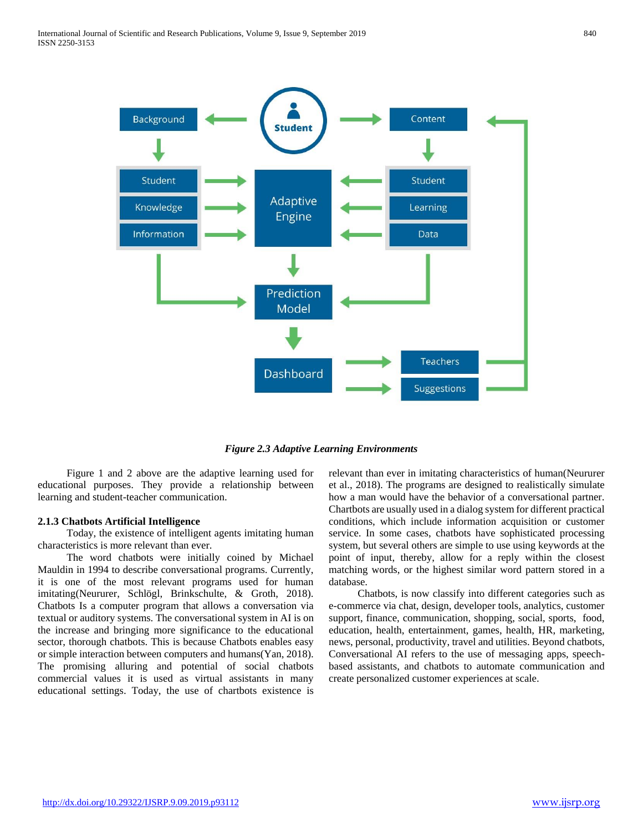

*Figure 2.3 Adaptive Learning Environments*

 Figure 1 and 2 above are the adaptive learning used for educational purposes. They provide a relationship between learning and student-teacher communication.

#### **2.1.3 Chatbots Artificial Intelligence**

 Today, the existence of intelligent agents imitating human characteristics is more relevant than ever.

 The word chatbots were initially coined by Michael Mauldin in 1994 to describe conversational programs. Currently, it is one of the most relevant programs used for human imitating(Neururer, Schlögl, Brinkschulte, & Groth, 2018). Chatbots Is a computer program that allows a conversation via textual or auditory systems. The conversational system in AI is on the increase and bringing more significance to the educational sector, thorough chatbots. This is because Chatbots enables easy or simple interaction between computers and humans(Yan, 2018). The promising alluring and potential of social chatbots commercial values it is used as virtual assistants in many educational settings. Today, the use of chartbots existence is

relevant than ever in imitating characteristics of human(Neururer et al., 2018). The programs are designed to realistically simulate how a man would have the behavior of a conversational partner. Chartbots are usually used in a dialog system for different practical conditions, which include information acquisition or customer service. In some cases, chatbots have sophisticated processing system, but several others are simple to use using keywords at the point of input, thereby, allow for a reply within the closest matching words, or the highest similar word pattern stored in a database.

 Chatbots, is now classify into different categories such as e-commerce via chat, design, developer tools, analytics, customer support, finance, communication, shopping, social, sports, food, education, health, entertainment, games, health, HR, marketing, news, personal, productivity, travel and utilities. Beyond chatbots, Conversational AI refers to the use of messaging apps, speechbased assistants, and chatbots to automate communication and create personalized customer experiences at scale.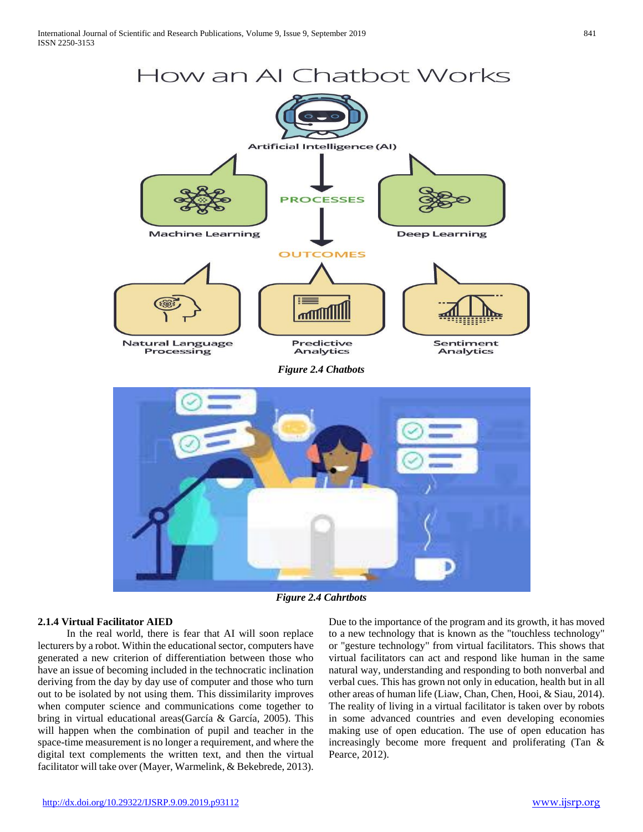

*Figure 2.4 Cahrtbots*

## **2.1.4 Virtual Facilitator AIED**

 In the real world, there is fear that AI will soon replace lecturers by a robot. Within the educational sector, computers have generated a new criterion of differentiation between those who have an issue of becoming included in the technocratic inclination deriving from the day by day use of computer and those who turn out to be isolated by not using them. This dissimilarity improves when computer science and communications come together to bring in virtual educational areas(García & García, 2005). This will happen when the combination of pupil and teacher in the space-time measurement is no longer a requirement, and where the digital text complements the written text, and then the virtual facilitator will take over (Mayer, Warmelink, & Bekebrede, 2013).

Due to the importance of the program and its growth, it has moved to a new technology that is known as the "touchless technology" or "gesture technology" from virtual facilitators. This shows that virtual facilitators can act and respond like human in the same natural way, understanding and responding to both nonverbal and verbal cues. This has grown not only in education, health but in all other areas of human life (Liaw, Chan, Chen, Hooi, & Siau, 2014). The reality of living in a virtual facilitator is taken over by robots in some advanced countries and even developing economies making use of open education. The use of open education has increasingly become more frequent and proliferating (Tan & Pearce, 2012).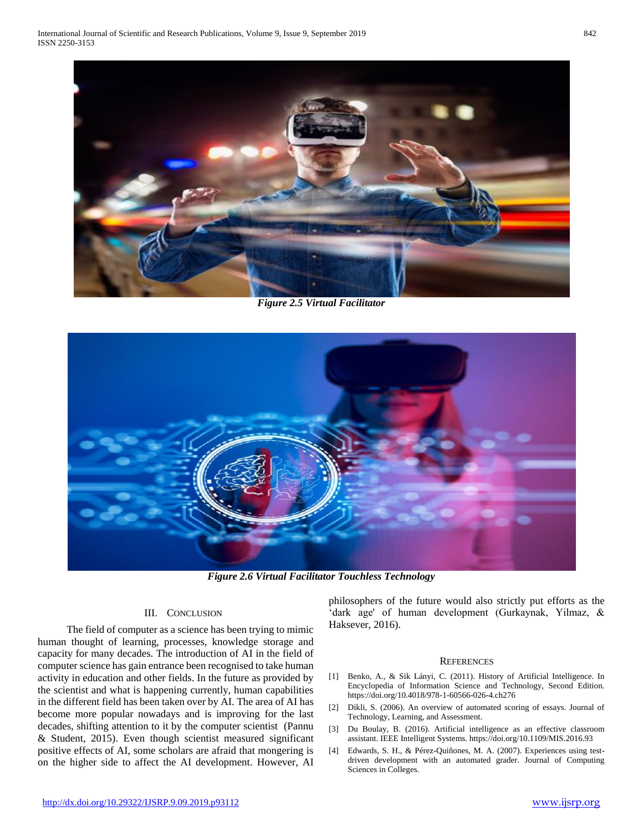

*Figure 2.5 Virtual Facilitator*



*Figure 2.6 Virtual Facilitator Touchless Technology*

## III. CONCLUSION

 The field of computer as a science has been trying to mimic human thought of learning, processes, knowledge storage and capacity for many decades. The introduction of AI in the field of computer science has gain entrance been recognised to take human activity in education and other fields. In the future as provided by the scientist and what is happening currently, human capabilities in the different field has been taken over by AI. The area of AI has become more popular nowadays and is improving for the last decades, shifting attention to it by the computer scientist (Pannu & Student, 2015). Even though scientist measured significant positive effects of AI, some scholars are afraid that mongering is on the higher side to affect the AI development. However, AI philosophers of the future would also strictly put efforts as the 'dark age' of human development (Gurkaynak, Yilmaz, & Haksever, 2016).

#### **REFERENCES**

- [1] Benko, A., & Sik Lányi, C. (2011). History of Artificial Intelligence. In Encyclopedia of Information Science and Technology, Second Edition. https://doi.org/10.4018/978-1-60566-026-4.ch276
- [2] Dikli, S. (2006). An overview of automated scoring of essays. Journal of Technology, Learning, and Assessment.
- [3] Du Boulay, B. (2016). Artificial intelligence as an effective classroom assistant. IEEE Intelligent Systems. https://doi.org/10.1109/MIS.2016.93
- [4] Edwards, S. H., & Pérez-Quiñones, M. A. (2007). Experiences using testdriven development with an automated grader. Journal of Computing Sciences in Colleges.